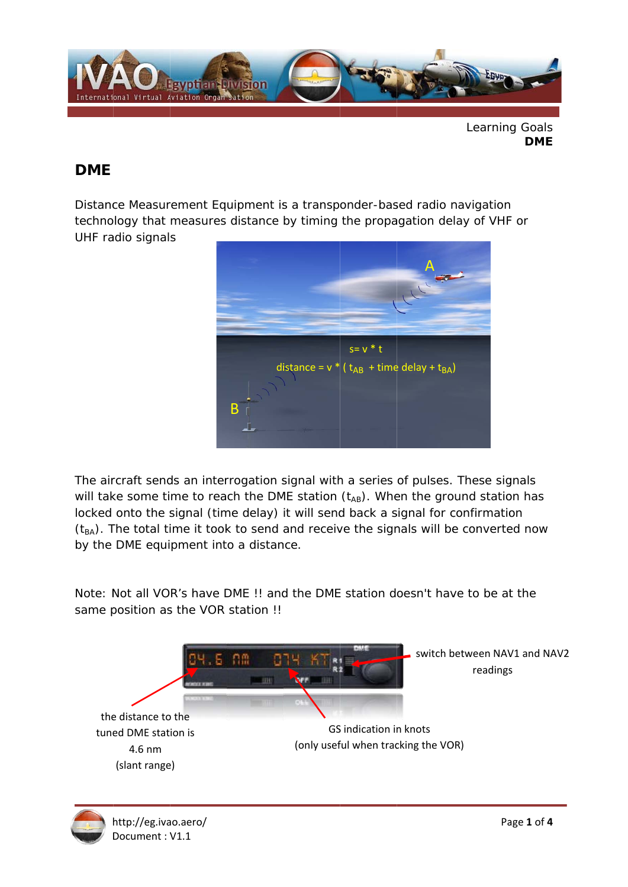

Learning Goals **DME** 

## **DME**

Distance Measurement Equipment is a transponder-based radio navigation technology that measures distance by timing the propagation delay of VHF or UHF radio signals



The aircraft sends an interrogation signal with a series of pulses. These signals will take some time to reach the DME station (tAB). When the ground station has locked onto the signal (time delay) it will send back a signal for confirmation  $(t_{BA})$ . The total time it took to send and receive the signals will be converted now by the DME equipment into a distance.

Note: Not all VOR's have DME !! and the DME station doesn't have to be at the same position as the VOR station !!



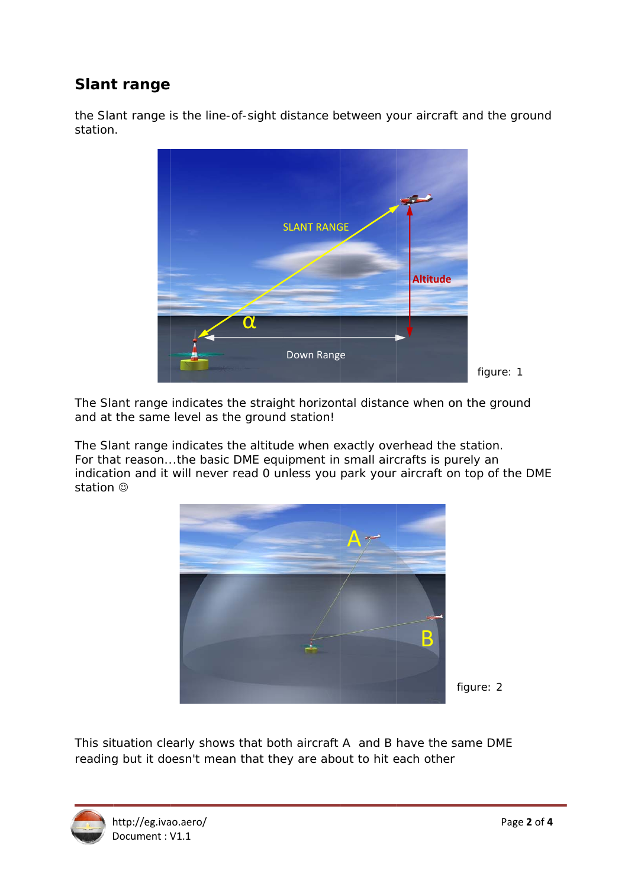## **Slant range**

the Slant range is the line-of-sight distance between your aircraft and the ground station.



The Slant range indicates the straight horizontal distance when on the ground and at the same level as the ground station!

The Slant range indicates the altitude when exactly overhead the station. For that reason...the basic DME equipment in small aircrafts is purely an indication and it will never read 0 unless you park your aircraft on top of the DME station ©



figure: 2

This situation clearly shows that both aircraft A and B have the same DME reading but it doesn't mean that they are about to hit each other

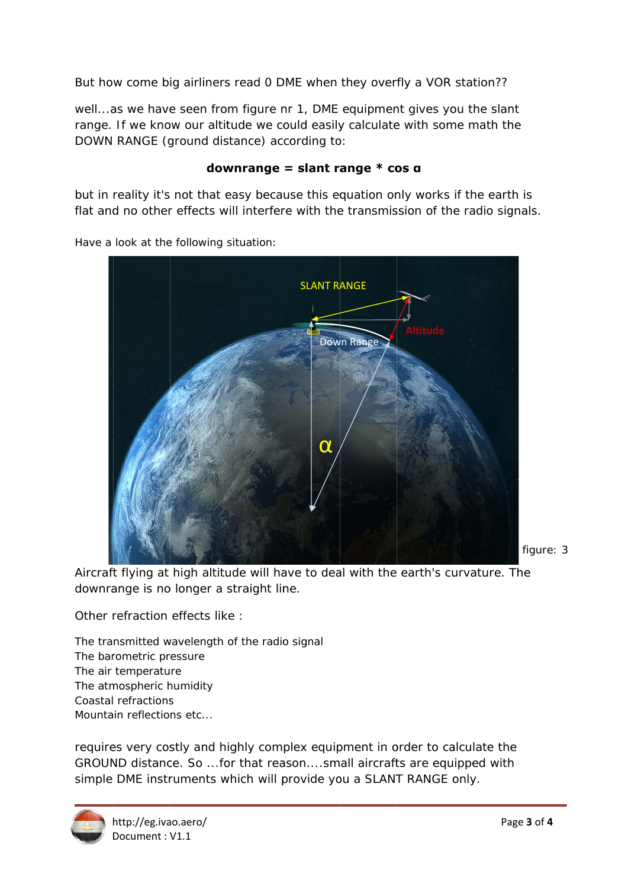But how come big airliners read 0 DME when they overfly a VOR station??

well...as we have seen from figure nr 1, DME equipment gives you the slant range. If we know our altitude we could easily calculate with some math the DOWN RANGE (ground distance) according to:

## downrange = slant range  $*$  cos  $a$

but in reality it's not that easy because this equation only works if the earth is flat and no other effects will interfere with the transmission of the radio signals.



Have a look at the following situation:

Aircraft flying at high altitude will have to deal with the earth's curvature. The downrange is no longer a straight line.

Other refraction effects like :

The transmitted wavelength of the radio signal The barometric pressure The air temperature The atmospheric humidity Coastal refractions Mountain reflections etc...

requires very costly and highly complex equipment in order to calculate the GROUND distance. So ... for that reason....small aircrafts are equipped with simple DME instruments which will provide you a SLANT RANGE only.



figure: 3